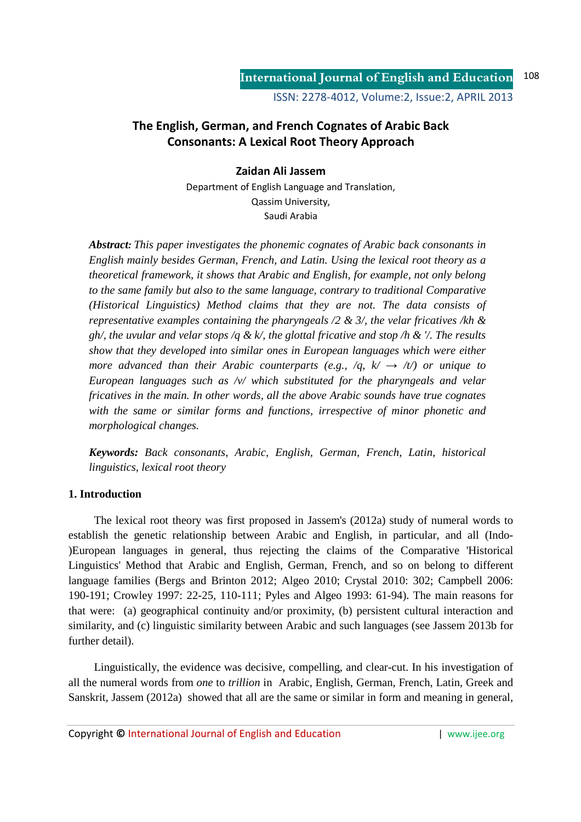# **The English, German, and French Cognates of Arabic Back Consonants: A Lexical Root Theory Approach**

### **Zaidan Ali Jassem**

Department of English Language and Translation, Qassim University, Saudi Arabia

*Abstract: This paper investigates the phonemic cognates of Arabic back consonants in English mainly besides German, French, and Latin. Using the lexical root theory as a theoretical framework, it shows that Arabic and English, for example, not only belong to the same family but also to the same language, contrary to traditional Comparative (Historical Linguistics) Method claims that they are not. The data consists of representative examples containing the pharyngeals /2 & 3/, the velar fricatives /kh & gh/, the uvular and velar stops /q & k/, the glottal fricative and stop /h & '/. The results show that they developed into similar ones in European languages which were either more advanced than their Arabic counterparts (e.g.,*  $/q$ *,*  $k' \rightarrow /t/$ *) or unique to European languages such as /v/ which substituted for the pharyngeals and velar fricatives in the main. In other words, all the above Arabic sounds have true cognates with the same or similar forms and functions, irrespective of minor phonetic and morphological changes.* 

*Keywords: Back consonants, Arabic, English, German, French, Latin, historical linguistics, lexical root theory* 

## **1. Introduction**

The lexical root theory was first proposed in Jassem's (2012a) study of numeral words to establish the genetic relationship between Arabic and English, in particular, and all (Indo- )European languages in general, thus rejecting the claims of the Comparative 'Historical Linguistics' Method that Arabic and English, German, French, and so on belong to different language families (Bergs and Brinton 2012; Algeo 2010; Crystal 2010: 302; Campbell 2006: 190-191; Crowley 1997: 22-25, 110-111; Pyles and Algeo 1993: 61-94). The main reasons for that were: (a) geographical continuity and/or proximity, (b) persistent cultural interaction and similarity, and (c) linguistic similarity between Arabic and such languages (see Jassem 2013b for further detail).

Linguistically, the evidence was decisive, compelling, and clear-cut. In his investigation of all the numeral words from *one* to *trillion* in Arabic, English, German, French, Latin, Greek and Sanskrit, Jassem (2012a) showed that all are the same or similar in form and meaning in general,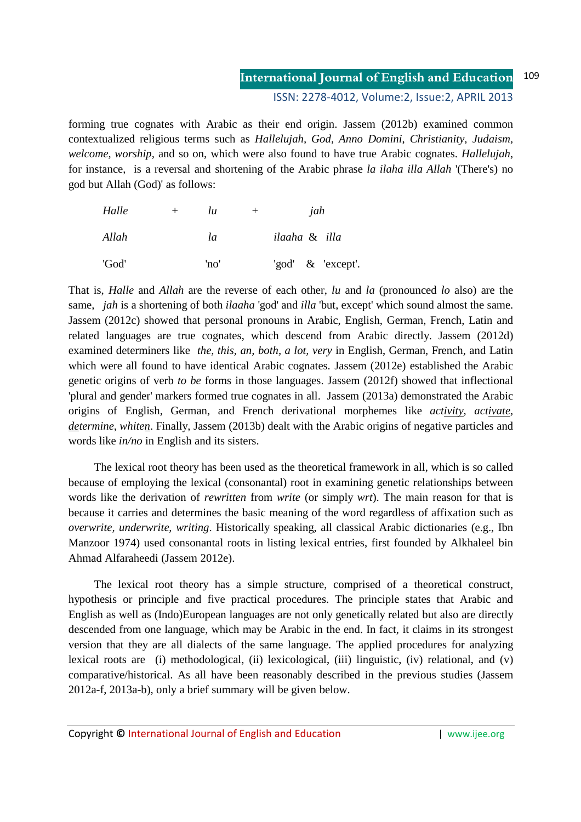#### **International Journal of English and Education** 109

ISSN: 2278-4012, Volume:2, Issue:2, APRIL 2013

forming true cognates with Arabic as their end origin. Jassem (2012b) examined common contextualized religious terms such as *Hallelujah, God, Anno Domini*, *Christianity, Judaism, welcome, worship,* and so on, which were also found to have true Arabic cognates. *Hallelujah*, for instance, is a reversal and shortening of the Arabic phrase *la ilaha illa Allah* '(There's) no god but Allah (God)' as follows:

| Halle | $+$ | lu   | $^+$ | jah           |  |                   |
|-------|-----|------|------|---------------|--|-------------------|
| Allah |     | la   |      | ilaaha & illa |  |                   |
| 'God' |     | 'no' |      |               |  | 'god' & 'except'. |

That is, *Halle* and *Allah* are the reverse of each other, *lu* and *la* (pronounced *lo* also) are the same, *jah* is a shortening of both *ilaaha* 'god' and *illa* 'but, except' which sound almost the same. Jassem (2012c) showed that personal pronouns in Arabic, English, German, French, Latin and related languages are true cognates, which descend from Arabic directly. Jassem (2012d) examined determiners like *the, this, an, both, a lot, very* in English, German, French, and Latin which were all found to have identical Arabic cognates. Jassem (2012e) established the Arabic genetic origins of verb *to be* forms in those languages. Jassem (2012f) showed that inflectional 'plural and gender' markers formed true cognates in all. Jassem (2013a) demonstrated the Arabic origins of English, German, and French derivational morphemes like *activity, activate, determine, whiten*. Finally, Jassem (2013b) dealt with the Arabic origins of negative particles and words like *in/no* in English and its sisters.

The lexical root theory has been used as the theoretical framework in all, which is so called because of employing the lexical (consonantal) root in examining genetic relationships between words like the derivation of *rewritten* from *write* (or simply *wrt*). The main reason for that is because it carries and determines the basic meaning of the word regardless of affixation such as *overwrite, underwrite, writing*. Historically speaking, all classical Arabic dictionaries (e.g., Ibn Manzoor 1974) used consonantal roots in listing lexical entries, first founded by Alkhaleel bin Ahmad Alfaraheedi (Jassem 2012e).

The lexical root theory has a simple structure, comprised of a theoretical construct, hypothesis or principle and five practical procedures. The principle states that Arabic and English as well as (Indo)European languages are not only genetically related but also are directly descended from one language, which may be Arabic in the end. In fact, it claims in its strongest version that they are all dialects of the same language. The applied procedures for analyzing lexical roots are (i) methodological, (ii) lexicological, (iii) linguistic, (iv) relational, and (v) comparative/historical. As all have been reasonably described in the previous studies (Jassem 2012a-f, 2013a-b), only a brief summary will be given below.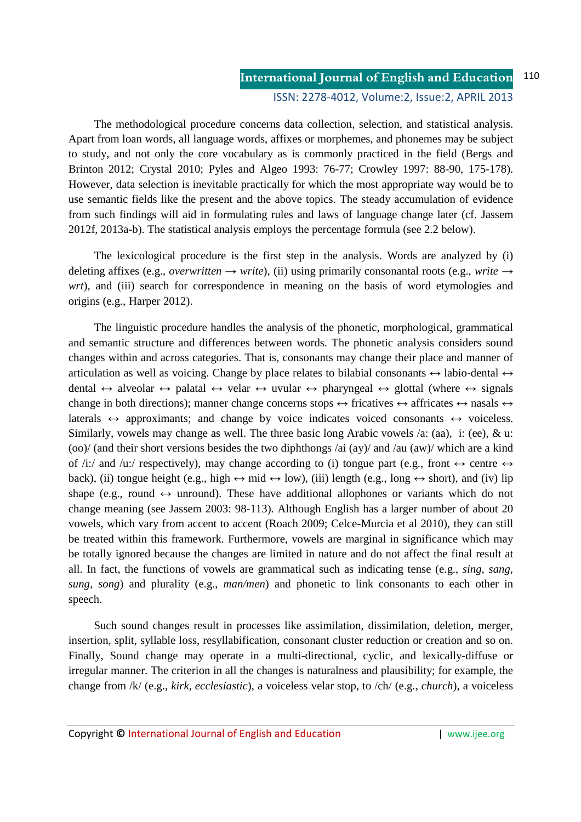The methodological procedure concerns data collection, selection, and statistical analysis. Apart from loan words, all language words, affixes or morphemes, and phonemes may be subject to study, and not only the core vocabulary as is commonly practiced in the field (Bergs and Brinton 2012; Crystal 2010; Pyles and Algeo 1993: 76-77; Crowley 1997: 88-90, 175-178). However, data selection is inevitable practically for which the most appropriate way would be to use semantic fields like the present and the above topics. The steady accumulation of evidence from such findings will aid in formulating rules and laws of language change later (cf. Jassem 2012f, 2013a-b). The statistical analysis employs the percentage formula (see 2.2 below).

The lexicological procedure is the first step in the analysis. Words are analyzed by (i) deleting affixes (e.g., *overwritten*  $\rightarrow$  *write*), (ii) using primarily consonantal roots (e.g., *write*  $\rightarrow$ *wrt*), and (iii) search for correspondence in meaning on the basis of word etymologies and origins (e.g., Harper 2012).

The linguistic procedure handles the analysis of the phonetic, morphological, grammatical and semantic structure and differences between words. The phonetic analysis considers sound changes within and across categories. That is, consonants may change their place and manner of articulation as well as voicing. Change by place relates to bilabial consonants  $\leftrightarrow$  labio-dental  $\leftrightarrow$ dental  $\leftrightarrow$  alveolar  $\leftrightarrow$  palatal  $\leftrightarrow$  velar  $\leftrightarrow$  uvular  $\leftrightarrow$  pharyngeal  $\leftrightarrow$  glottal (where  $\leftrightarrow$  signals change in both directions); manner change concerns stops  $\leftrightarrow$  fricatives  $\leftrightarrow$  affricates  $\leftrightarrow$  nasals  $\leftrightarrow$ laterals  $\leftrightarrow$  approximants; and change by voice indicates voiced consonants  $\leftrightarrow$  voiceless. Similarly, vowels may change as well. The three basic long Arabic vowels /a: (aa), i: (ee),  $\&$  u: (oo)/ (and their short versions besides the two diphthongs /ai (ay)/ and /au (aw)/ which are a kind of /i:/ and /u:/ respectively), may change according to (i) tongue part (e.g., front  $\leftrightarrow$  centre  $\leftrightarrow$ back), (ii) tongue height (e.g., high  $\leftrightarrow$  mid  $\leftrightarrow$  low), (iii) length (e.g., long  $\leftrightarrow$  short), and (iv) lip shape (e.g., round  $\leftrightarrow$  unround). These have additional allophones or variants which do not change meaning (see Jassem 2003: 98-113). Although English has a larger number of about 20 vowels, which vary from accent to accent (Roach 2009; Celce-Murcia et al 2010), they can still be treated within this framework. Furthermore, vowels are marginal in significance which may be totally ignored because the changes are limited in nature and do not affect the final result at all. In fact, the functions of vowels are grammatical such as indicating tense (e.g., *sing, sang, sung, song*) and plurality (e.g., *man/men*) and phonetic to link consonants to each other in speech.

Such sound changes result in processes like assimilation, dissimilation, deletion, merger, insertion, split, syllable loss, resyllabification, consonant cluster reduction or creation and so on. Finally, Sound change may operate in a multi-directional, cyclic, and lexically-diffuse or irregular manner. The criterion in all the changes is naturalness and plausibility; for example, the change from /k/ (e.g., *kirk, ecclesiastic*), a voiceless velar stop, to /ch/ (e.g., *church*), a voiceless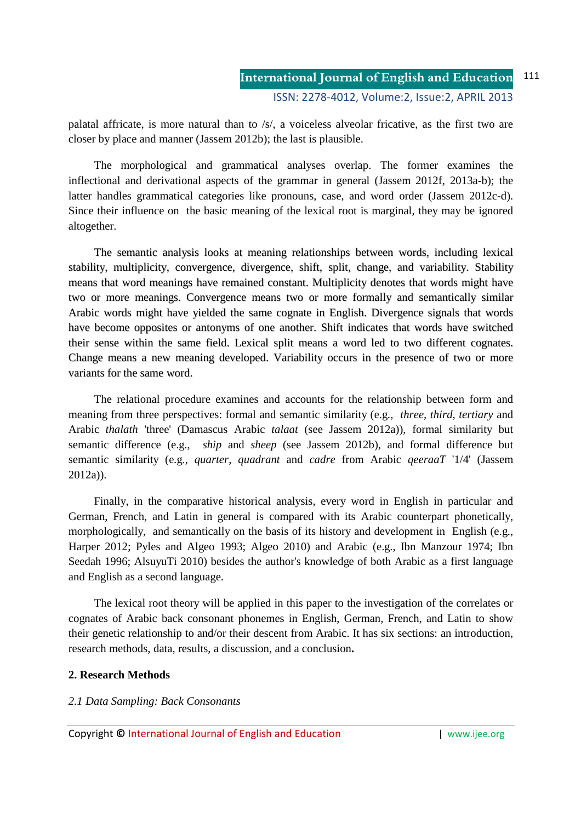palatal affricate, is more natural than to /s/, a voiceless alveolar fricative, as the first two are closer by place and manner (Jassem 2012b); the last is plausible.

The morphological and grammatical analyses overlap. The former examines the inflectional and derivational aspects of the grammar in general (Jassem 2012f, 2013a-b); the latter handles grammatical categories like pronouns, case, and word order (Jassem 2012c-d). Since their influence on the basic meaning of the lexical root is marginal, they may be ignored altogether.

The semantic analysis looks at meaning relationships between words, including lexical stability, multiplicity, convergence, divergence, shift, split, change, and variability. Stability means that word meanings have remained constant. Multiplicity denotes that words might have two or more meanings. Convergence means two or more formally and semantically similar Arabic words might have yielded the same cognate in English. Divergence signals that words have become opposites or antonyms of one another. Shift indicates that words have switched their sense within the same field. Lexical split means a word led to two different cognates. Change means a new meaning developed. Variability occurs in the presence of two or more variants for the same word.

The relational procedure examines and accounts for the relationship between form and meaning from three perspectives: formal and semantic similarity (e.g., *three, third, tertiary* and Arabic *thalath* 'three' (Damascus Arabic *talaat* (see Jassem 2012a)), formal similarity but semantic difference (e.g., *ship* and *sheep* (see Jassem 2012b), and formal difference but semantic similarity (e.g., *quarter, quadrant* and *cadre* from Arabic *qeeraaT* '1/4' (Jassem 2012a)).

Finally, in the comparative historical analysis, every word in English in particular and German, French, and Latin in general is compared with its Arabic counterpart phonetically, morphologically, and semantically on the basis of its history and development in English (e.g., Harper 2012; Pyles and Algeo 1993; Algeo 2010) and Arabic (e.g., Ibn Manzour 1974; Ibn Seedah 1996; AlsuyuTi 2010) besides the author's knowledge of both Arabic as a first language and English as a second language.

The lexical root theory will be applied in this paper to the investigation of the correlates or cognates of Arabic back consonant phonemes in English, German, French, and Latin to show their genetic relationship to and/or their descent from Arabic. It has six sections: an introduction, research methods, data, results, a discussion, and a conclusion**.**

### **2. Research Methods**

### *2.1 Data Sampling: Back Consonants*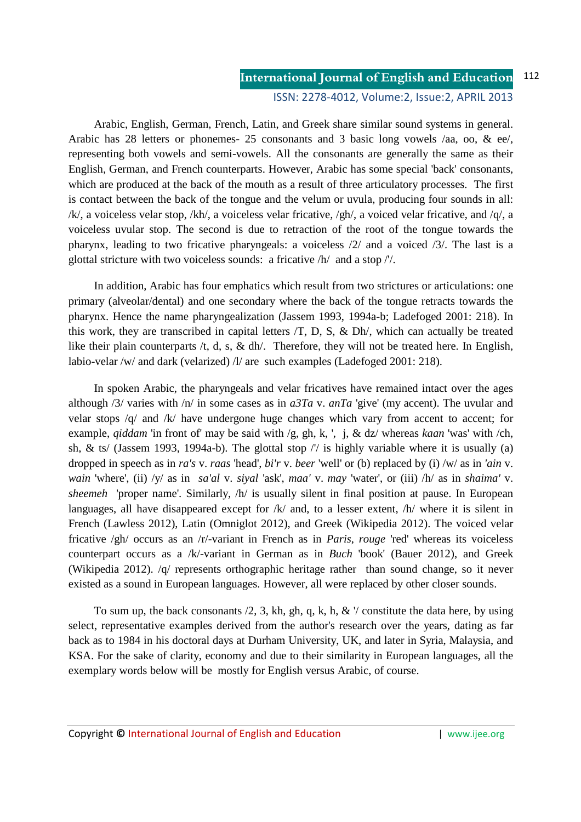Arabic, English, German, French, Latin, and Greek share similar sound systems in general. Arabic has 28 letters or phonemes- 25 consonants and 3 basic long vowels /aa, oo, & ee/, representing both vowels and semi-vowels. All the consonants are generally the same as their English, German, and French counterparts. However, Arabic has some special 'back' consonants, which are produced at the back of the mouth as a result of three articulatory processes. The first is contact between the back of the tongue and the velum or uvula, producing four sounds in all: /k/, a voiceless velar stop, /kh/, a voiceless velar fricative, /gh/, a voiced velar fricative, and /q/, a voiceless uvular stop. The second is due to retraction of the root of the tongue towards the pharynx, leading to two fricative pharyngeals: a voiceless /2/ and a voiced /3/. The last is a glottal stricture with two voiceless sounds: a fricative /h/ and a stop /'/.

In addition, Arabic has four emphatics which result from two strictures or articulations: one primary (alveolar/dental) and one secondary where the back of the tongue retracts towards the pharynx. Hence the name pharyngealization (Jassem 1993, 1994a-b; Ladefoged 2001: 218). In this work, they are transcribed in capital letters  $\overline{T}$ , D, S, & Dh/, which can actually be treated like their plain counterparts /t, d, s, & dh/. Therefore, they will not be treated here. In English, labio-velar /w/ and dark (velarized)  $/l$  are such examples (Ladefoged 2001: 218).

 In spoken Arabic, the pharyngeals and velar fricatives have remained intact over the ages although /3/ varies with /n/ in some cases as in *a3Ta* v. *anTa* 'give' (my accent). The uvular and velar stops  $\sqrt{q}$  and  $\sqrt{k}$  have undergone huge changes which vary from accent to accent; for example, *qiddam* 'in front of' may be said with /g, gh, k, ', j, & dz/ whereas *kaan* 'was' with /ch, sh,  $\&$  ts/ (Jassem 1993, 1994a-b). The glottal stop // is highly variable where it is usually (a) dropped in speech as in *ra's* v. *raas* 'head', *bi'r* v. *beer* 'well' or (b) replaced by (i) /w/ as in *'ain* v. *wain* 'where', (ii) /y/ as in *sa'al* v. *siyal* 'ask', *maa'* v. *may* 'water', or (iii) /h/ as in *shaima'* v. *sheemeh* 'proper name'. Similarly, /h/ is usually silent in final position at pause. In European languages, all have disappeared except for /k/ and, to a lesser extent, /h/ where it is silent in French (Lawless 2012), Latin (Omniglot 2012), and Greek (Wikipedia 2012). The voiced velar fricative /gh/ occurs as an /r/-variant in French as in *Paris*, *rouge* 'red' whereas its voiceless counterpart occurs as a /k/-variant in German as in *Buch* 'book' (Bauer 2012), and Greek (Wikipedia 2012). /q/ represents orthographic heritage rather than sound change, so it never existed as a sound in European languages. However, all were replaced by other closer sounds.

To sum up, the back consonants  $/2$ , 3, kh, gh, q, k, h,  $\& \vee$  constitute the data here, by using select, representative examples derived from the author's research over the years, dating as far back as to 1984 in his doctoral days at Durham University, UK, and later in Syria, Malaysia, and KSA. For the sake of clarity, economy and due to their similarity in European languages, all the exemplary words below will be mostly for English versus Arabic, of course.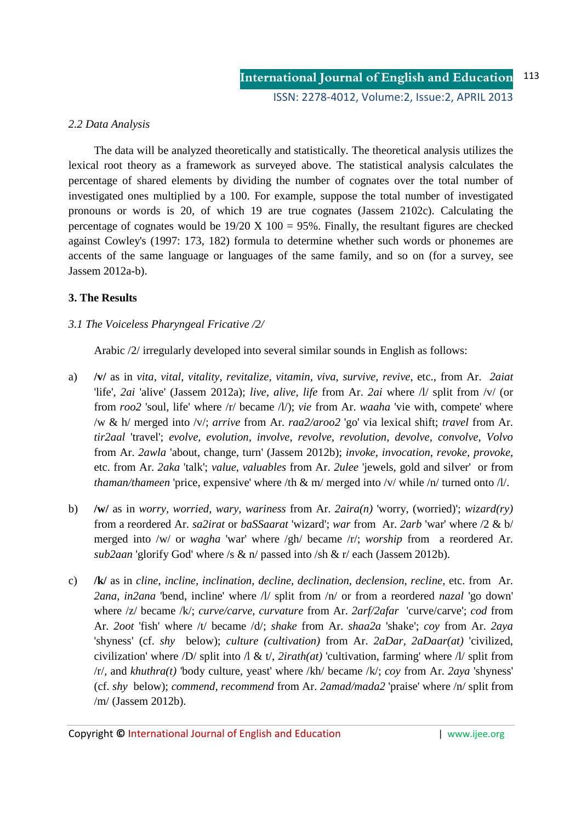### *2.2 Data Analysis*

The data will be analyzed theoretically and statistically. The theoretical analysis utilizes the lexical root theory as a framework as surveyed above. The statistical analysis calculates the percentage of shared elements by dividing the number of cognates over the total number of investigated ones multiplied by a 100. For example, suppose the total number of investigated pronouns or words is 20, of which 19 are true cognates (Jassem 2102c). Calculating the percentage of cognates would be  $19/20 \text{ X } 100 = 95\%$ . Finally, the resultant figures are checked against Cowley's (1997: 173, 182) formula to determine whether such words or phonemes are accents of the same language or languages of the same family, and so on (for a survey, see Jassem 2012a-b).

### **3. The Results**

### *3.1 The Voiceless Pharyngeal Fricative /2/*

Arabic /2/ irregularly developed into several similar sounds in English as follows:

- a) **/v/** as in *vita, vital, vitality, revitalize, vitamin, viva*, *survive, revive,* etc., from Ar. *2aiat* 'life', *2ai* 'alive' (Jassem 2012a); *live, alive, life* from Ar. *2ai* where /l/ split from /v/ (or from *roo2* 'soul, life' where /r/ became /l/); *vie* from Ar. *waaha* 'vie with, compete' where /w & h/ merged into /v/; *arrive* from Ar. *raa2/aroo2* 'go' via lexical shift; *travel* from Ar. *tir2aal* 'travel'; *evolve, evolution, involve, revolve, revolution, devolve, convolve, Volvo*  from Ar. *2awla* 'about, change, turn' (Jassem 2012b); *invoke, invocation, revoke, provoke*, etc. from Ar. *2aka* 'talk'; *value, valuables* from Ar. *2ulee* 'jewels, gold and silver' or from *thaman/thameen* 'price, expensive' where /th & m/ merged into /v/ while /n/ turned onto /l/.
- b) **/w/** as in *worry, worried, wary, wariness* from Ar. *2aira(n)* 'worry, (worried)'; *wizard(ry)* from a reordered Ar. *sa2irat* or *baSSaarat* 'wizard'; *war* from Ar. *2arb* 'war' where /2 & b/ merged into /w/ or *wagha* 'war' where /gh/ became /r/; *worship* from a reordered Ar. *sub2aan* 'glorify God' where /s & n/ passed into /sh & r/ each (Jassem 2012b).
- c) **/k/** as in *cline*, *incline, inclination, decline, declination, declension, recline,* etc. from Ar. *2ana, in2ana* 'bend, incline' where /l/ split from /n/ or from a reordered *nazal* 'go down' where /z/ became /k/; *curve/carve, curvature* from Ar. *2arf/2afar* 'curve/carve'; *cod* from Ar. *2oot* 'fish' where /t/ became /d/; *shake* from Ar. *shaa2a* 'shake'; *coy* from Ar. *2aya* 'shyness' (cf. *shy* below); *culture (cultivation)* from Ar. *2aDar, 2aDaar(at)* 'civilized, civilization' where /D/ split into /l & t/, *2irath(at)* 'cultivation, farming' where /l/ split from /r/, and *khuthra(t)* 'body culture, yeast' where /kh/ became /k/; *coy* from Ar. *2aya* 'shyness' (cf. *shy* below); *commend, recommend* from Ar. *2amad/mada2* 'praise' where /n/ split from /m/ (Jassem 2012b).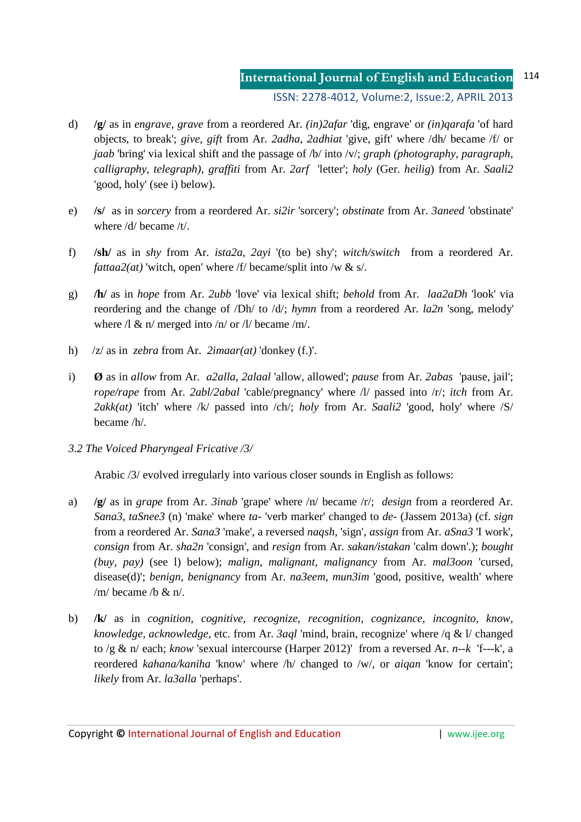- d) **/g/** as in *engrave, grave* from a reordered Ar. *(in)2afar* 'dig, engrave' or *(in)qarafa* 'of hard objects, to break'; *give, gift* from Ar. *2adha, 2adhiat* 'give, gift' where /dh/ became /f/ or *jaab* 'bring' via lexical shift and the passage of /b/ into /v/; *graph (photography, paragraph, calligraphy, telegraph), graffiti* from Ar. *2arf* 'letter'; *holy* (Ger. *heilig*) from Ar. *Saali2*  'good, holy' (see i) below).
- e) **/s/** as in *sorcery* from a reordered Ar. *si2ir* 'sorcery'; *obstinate* from Ar. *3aneed* 'obstinate' where /d/ became /t/.
- f) **/sh/** as in *shy* from Ar. *ista2a, 2ayi* '(to be) shy'; *witch/switch* from a reordered Ar. *fattaa2(at)* 'witch, open' where /f/ became/split into /w & s/.
- g) **/h/** as in *hope* from Ar. *2ubb* 'love' via lexical shift; *behold* from Ar. *laa2aDh* 'look' via reordering and the change of /Dh/ to /d/; *hymn* from a reordered Ar. *la2n* 'song, melody' where  $\lambda \propto n/m$  merged into  $\lambda n/m$  or  $\lambda$  became  $\lambda m/m$ .
- h) /z/ as in *zebra* from Ar. *2imaar(at)* 'donkey (f.)'.
- i) **Ø** as in *allow* from Ar. *a2alla, 2alaal* 'allow, allowed'; *pause* from Ar. *2abas* 'pause, jail'; *rope/rape* from Ar. *2abl/2abal* 'cable/pregnancy' where /l/ passed into /r/; *itch* from Ar. *2akk(at)* 'itch' where /k/ passed into /ch/; *holy* from Ar. *Saali2* 'good, holy' where /S/ became /h/.
- *3.2 The Voiced Pharyngeal Fricative /3/*

Arabic /3/ evolved irregularly into various closer sounds in English as follows:

- a) **/g/** as in *grape* from Ar. *3inab* 'grape' where /n/ became /r/; *design* from a reordered Ar. *Sana3, taSnee3* (n) 'make' where *ta-* 'verb marker' changed to *de-* (Jassem 2013a) (cf. *sign* from a reordered Ar. *Sana3* 'make', a reversed *naqsh,* 'sign', *assign* from Ar. *aSna3* 'I work', *consign* from Ar. *sha2n* 'consign', and *resign* from Ar. *sakan/istakan* 'calm down'.); *bought (buy, pay)* (see l) below); *malign, malignant, malignancy* from Ar. *mal3oon* 'cursed, disease(d)'; *benign, benignancy* from Ar. *na3eem, mun3im* 'good, positive, wealth' where /m/ became /b  $\&$  n/.
- b) **/k/** as in *cognition, cognitive, recognize*, *recognition, cognizance, incognito, know, knowledge, acknowledge*, etc. from Ar. *3aql* 'mind, brain, recognize' where /q & l/ changed to /g & n/ each; *know* 'sexual intercourse (Harper 2012)' from a reversed Ar. *n--k* 'f---k', a reordered *kahana/kaniha* 'know' where /h/ changed to /w/, or *aiqan* 'know for certain'; *likely* from Ar. *la3alla* 'perhaps'.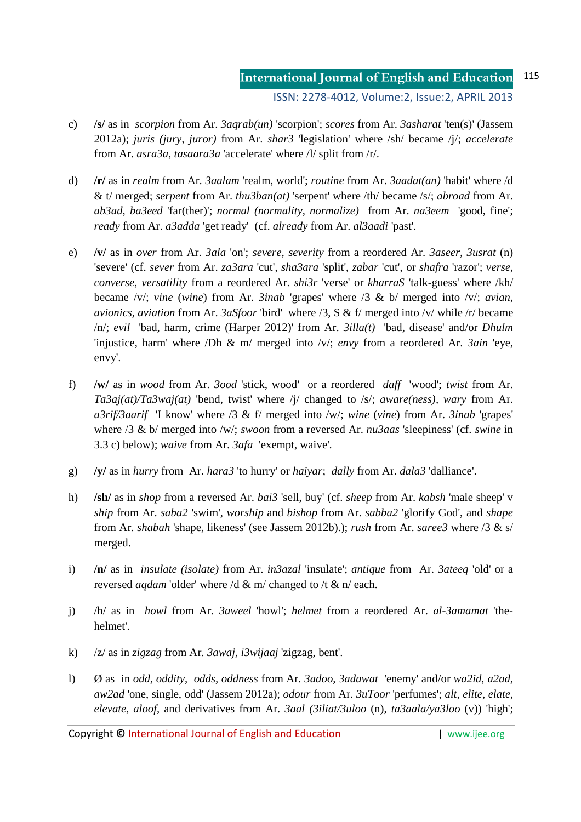- c) **/s/** as in *scorpion* from Ar. *3aqrab(un)* 'scorpion'; *scores* from Ar. *3asharat* 'ten(s)' (Jassem 2012a); *juris (jury, juror)* from Ar. *shar3* 'legislation' where /sh/ became /j/; *accelerate* from Ar. *asra3a, tasaara3a* 'accelerate' where /l/ split from /r/.
- d) **/r/** as in *realm* from Ar. *3aalam* 'realm, world'; *routine* from Ar. *3aadat(an)* 'habit' where /d & t/ merged; *serpent* from Ar. *thu3ban(at)* 'serpent' where /th/ became /s/; *abroad* from Ar. *ab3ad, ba3eed* 'far(ther)'; *normal (normality, normalize)* from Ar. *na3eem* 'good, fine'; *ready* from Ar. *a3adda* 'get ready' (cf. *already* from Ar. *al3aadi* 'past'.
- e) **/v/** as in *over* from Ar. *3ala* 'on'; *severe, severity* from a reordered Ar. *3aseer, 3usrat* (n) 'severe' (cf. *sever* from Ar. *za3ara* 'cut', *sha3ara* 'split', *zabar* 'cut', or *shafra* 'razor'; *verse, converse, versatility* from a reordered Ar. *shi3r* 'verse' or *kharraS* 'talk-guess' where /kh/ became /v/; *vine* (*wine*) from Ar. *3inab* 'grapes' where /3 & b/ merged into /v/; *avian, avionics, aviation* from Ar. *3aSfoor* 'bird' where /3, S & f/ merged into /v/ while /r/ became /n/; *evil* 'bad, harm, crime (Harper 2012)' from Ar. *3illa(t)* 'bad, disease' and/or *Dhulm* 'injustice, harm' where /Dh & m/ merged into /v/; *envy* from a reordered Ar. *3ain* 'eye, envy'.
- f) **/w/** as in *wood* from Ar. *3ood* 'stick, wood' or a reordered *daff* 'wood'; *twist* from Ar. *Ta3aj(at)/Ta3waj(at)* 'bend, twist' where /j/ changed to /s/; *aware(ness), wary* from Ar. *a3rif/3aarif* 'I know' where /3 & f/ merged into /w/; *wine* (*vine*) from Ar. *3inab* 'grapes' where /3 & b/ merged into /w/; *swoon* from a reversed Ar. *nu3aas* 'sleepiness' (cf. *swine* in 3.3 c) below); *waive* from Ar. *3afa* 'exempt, waive'.
- g) **/y/** as in *hurry* from Ar. *hara3* 'to hurry' or *haiyar*; *dally* from Ar. *dala3* 'dalliance'.
- h) **/sh/** as in *shop* from a reversed Ar. *bai3* 'sell, buy' (cf. *sheep* from Ar. *kabsh* 'male sheep' v *ship* from Ar. *saba2* 'swim', *worship* and *bishop* from Ar. *sabba2* 'glorify God', and *shape* from Ar. *shabah* 'shape, likeness' (see Jassem 2012b).); *rush* from Ar. *saree3* where /3 & s/ merged.
- i) **/n/** as in *insulate (isolate)* from Ar. *in3azal* 'insulate'; *antique* from Ar. *3ateeq* 'old' or a reversed *aqdam* 'older' where /d & m/ changed to /t & n/ each.
- j) /h/ as in *howl* from Ar. *3aweel* 'howl'; *helmet* from a reordered Ar. *al-3amamat* 'thehelmet'.
- k) /z/ as in *zigzag* from Ar. *3awaj, i3wijaaj* 'zigzag, bent'.
- l) Ø as in *odd, oddity, odds, oddness* from Ar. *3adoo, 3adawat* 'enemy' and/or *wa2id*, *a2ad, aw2ad* 'one, single, odd' (Jassem 2012a); *odour* from Ar. *3uToor* 'perfumes'; *alt, elite, elate, elevate, aloof,* and derivatives from Ar. *3aal (3iliat/3uloo* (n), *ta3aala/ya3loo* (v)) 'high';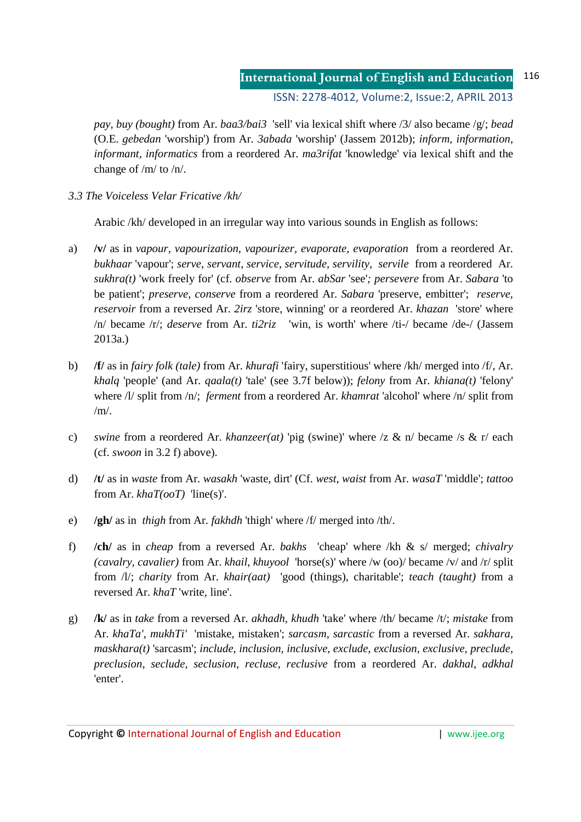*pay, buy (bought)* from Ar. *baa3/bai3* 'sell' via lexical shift where /3/ also became /g/; *bead* (O.E. *gebedan* 'worship') from Ar. *3abada* 'worship' (Jassem 2012b); *inform, information, informant, informatics* from a reordered Ar. *ma3rifat* 'knowledge' via lexical shift and the change of /m/ to /n/.

*3.3 The Voiceless Velar Fricative /kh/* 

Arabic /kh/ developed in an irregular way into various sounds in English as follows:

- a) **/v/** as in *vapour, vapourization, vapourizer, evaporate, evaporation* from a reordered Ar. *bukhaar* 'vapour'; *serve, servant, service, servitude, servility, servile* from a reordered Ar. *sukhra(t)* 'work freely for' (cf. *observe* from Ar. *abSar* 'see'*; persevere* from Ar. *Sabara* 'to be patient'; *preserve, conserve* from a reordered Ar. *Sabara* 'preserve, embitter'; *reserve, reservoir* from a reversed Ar. *2irz* 'store, winning' or a reordered Ar. *khazan* 'store' where /n/ became /r/; *deserve* from Ar. *ti2riz* 'win, is worth' where /ti-/ became /de-/ (Jassem 2013a.)
- b) **/f/** as in *fairy folk (tale)* from Ar. *khurafi* 'fairy, superstitious' where /kh/ merged into /f/, Ar. *khalq* 'people' (and Ar. *qaala(t)* 'tale' (see 3.7f below)); *felony* from Ar. *khiana(t)* 'felony' where /l/ split from /n/; *ferment* from a reordered Ar. *khamrat* 'alcohol' where /n/ split from  $/m/$ .
- c) *swine* from a reordered Ar. *khanzeer(at)* 'pig (swine)' where /z & n/ became /s & r/ each (cf. *swoon* in 3.2 f) above).
- d) **/t/** as in *waste* from Ar. *wasakh* 'waste, dirt' (Cf. *west, waist* from Ar. *wasaT* 'middle'; *tattoo*  from Ar. *khaT(ooT)* 'line(s)'.
- e) **/gh/** as in *thigh* from Ar. *fakhdh* 'thigh' where /f/ merged into /th/.
- f) **/ch/** as in *cheap* from a reversed Ar. *bakhs* 'cheap' where /kh & s/ merged; *chivalry (cavalry, cavalier)* from Ar. *khail, khuyool* 'horse(s)' where /w (oo)/ became /v/ and /r/ split from /l/; *charity* from Ar. *khair(aat)* 'good (things), charitable'; *teach (taught)* from a reversed Ar. *khaT* 'write, line'.
- g) **/k/** as in *take* from a reversed Ar. *akhadh, khudh* 'take' where /th/ became /t/; *mistake* from Ar. *khaTa'*, *mukhTi'* 'mistake, mistaken'; *sarcasm*, *sarcastic* from a reversed Ar. *sakhara, maskhara(t)* 'sarcasm'; *include, inclusion, inclusive, exclude, exclusion, exclusive, preclude, preclusion, seclude, seclusion, recluse, reclusive* from a reordered Ar. *dakhal, adkhal* 'enter'.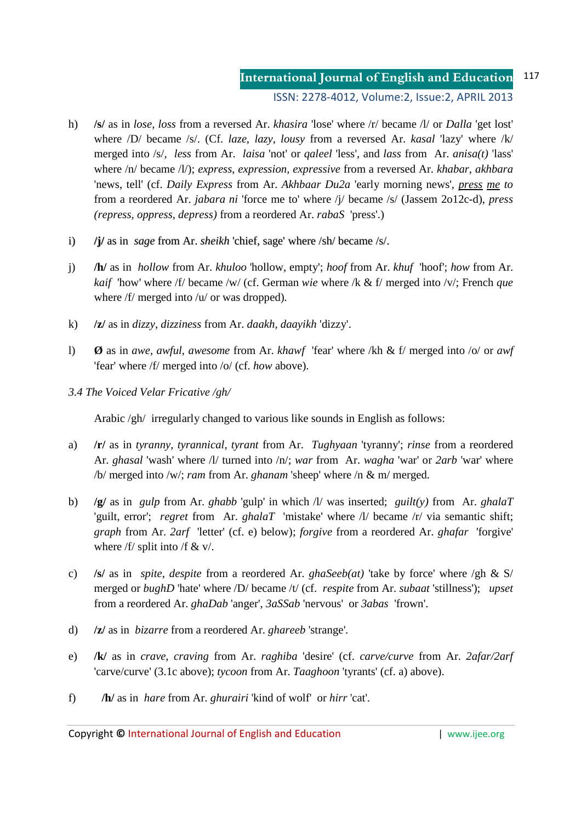- h) **/s/** as in *lose*, *loss* from a reversed Ar. *khasira* 'lose' where /r/ became /l/ or *Dalla* 'get lost' where /D/ became /s/. (Cf. *laze, lazy, lousy* from a reversed Ar. *kasal* 'lazy' where /k/ merged into /s/*, less* from Ar. *laisa* 'not' or *qaleel* 'less', and *lass* from Ar. *anisa(t)* 'lass' where /n/ became /l/); *express*, *expression, expressive* from a reversed Ar. *khabar, akhbara* 'news, tell' (cf. *Daily Express* from Ar. *Akhbaar Du2a* 'early morning news', *press me to*  from a reordered Ar. *jabara ni* 'force me to' where /j/ became /s/ (Jassem 2o12c-d), *press (repress, oppress, depress)* from a reordered Ar. *rabaS* 'press'.)
- i) **/j/** as in *sage* from Ar. *sheikh* 'chief, sage' where /sh/ became /s/.
- j) **/h/** as in *hollow* from Ar. *khuloo* 'hollow, empty'; *hoof* from Ar. *khuf* 'hoof'; *how* from Ar. *kaif* 'how' where /f/ became /w/ (cf. German *wie* where /k & f/ merged into /v/; French *que* where /f/ merged into /u/ or was dropped)*.*
- k) **/z/** as in *dizzy, dizziness* from Ar. *daakh, daayikh* 'dizzy'.
- l) **Ø** as in *awe, awful, awesome* from Ar. *khawf* 'fear' where /kh & f/ merged into /o/ or *awf* 'fear' where /f/ merged into /o/ (cf. *how* above).
- *3.4 The Voiced Velar Fricative /gh/*

Arabic /gh/ irregularly changed to various like sounds in English as follows:

- a) **/r/** as in *tyranny, tyrannical, tyrant* from Ar. *Tughyaan* 'tyranny'; *rinse* from a reordered Ar. *ghasal* 'wash' where /l/ turned into /n/; *war* from Ar. *wagha* 'war' or *2arb* 'war' where /b/ merged into /w/; *ram* from Ar. *ghanam* 'sheep' where /n & m/ merged.
- b) **/g/** as in *gulp* from Ar. *ghabb* 'gulp' in which /l/ was inserted; *guilt(y)* from Ar. *ghalaT* 'guilt, error'; *regret* from Ar. *ghalaT* 'mistake' where /l/ became /r/ via semantic shift; *graph* from Ar. *2arf* 'letter' (cf. e) below); *forgive* from a reordered Ar. *ghafar* 'forgive' where  $/f/$  split into  $/f < v/$ .
- c) **/s/** as in *spite, despite* from a reordered Ar. *ghaSeeb(at)* 'take by force' where /gh & S/ merged or *bughD* 'hate' where /D/ became /t/ (cf. *respite* from Ar. *subaat* 'stillness'); *upset*  from a reordered Ar. *ghaDab* 'anger', *3aSSab* 'nervous' or *3abas* 'frown'.
- d) **/z/** as in *bizarre* from a reordered Ar. *ghareeb* 'strange'.
- e) **/k/** as in *crave, craving* from Ar. *raghiba* 'desire' (cf. *carve/curve* from Ar. *2afar/2arf* 'carve/curve' (3.1c above); *tycoon* from Ar. *Taaghoon* 'tyrants' (cf. a) above).
- f) **/h/** as in *hare* from Ar. *ghurairi* 'kind of wolf' or *hirr* 'cat'.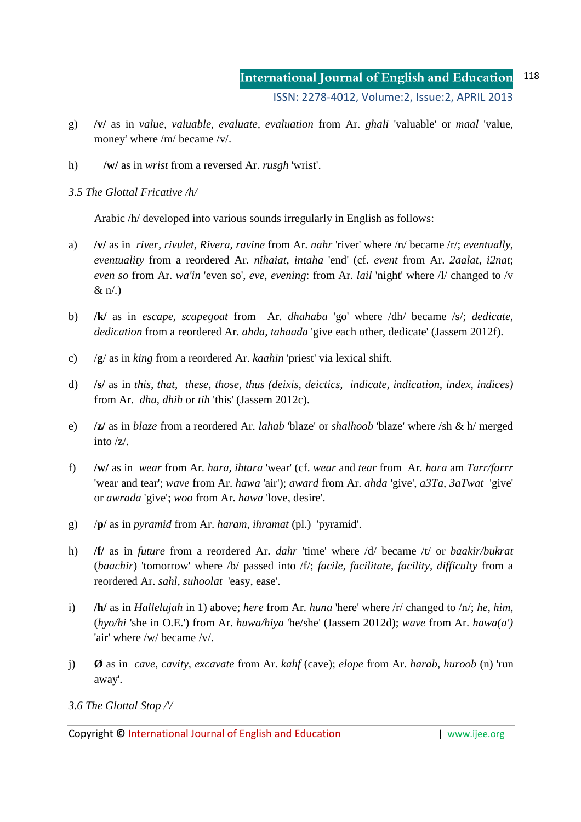- g) **/v/** as in *value, valuable, evaluate, evaluation* from Ar. *ghali* 'valuable' or *maal* 'value, money' where /m/ became /v/.
- h) **/w/** as in *wrist* from a reversed Ar. *rusgh* 'wrist'.

*3.5 The Glottal Fricative /h/* 

Arabic /h/ developed into various sounds irregularly in English as follows:

- a) **/v/** as in *river, rivulet, Rivera, ravine* from Ar. *nahr* 'river' where /n/ became /r/; *eventually*, *eventuality* from a reordered Ar. *nihaiat, intaha* 'end' (cf. *event* from Ar. *2aalat, i2nat*; *even so* from Ar. *wa'in* 'even so', *eve*, *evening*: from Ar. *lail* 'night' where /l/ changed to /v  $\&$  n/.)
- b) **/k/** as in *escape, scapegoat* from Ar. *dhahaba* 'go' where /dh/ became /s/; *dedicate*, *dedication* from a reordered Ar. *ahda, tahaada* 'give each other, dedicate' (Jassem 2012f).
- c) /**g**/ as in *king* from a reordered Ar. *kaahin* 'priest' via lexical shift.
- d) **/s/** as in *this, that, these, those, thus (deixis, deictics, indicate, indication, index, indices)*  from Ar. *dha, dhih* or *tih* 'this' (Jassem 2012c).
- e) **/z/** as in *blaze* from a reordered Ar. *lahab* 'blaze' or *shalhoob* 'blaze' where /sh & h/ merged into /z/.
- f) **/w/** as in *wear* from Ar. *hara, ihtara* 'wear' (cf. *wear* and *tear* from Ar. *hara* am *Tarr/farrr* 'wear and tear'; *wave* from Ar. *hawa* 'air'); *award* from Ar. *ahda* 'give', *a3Ta, 3aTwat* 'give' or *awrada* 'give'; *woo* from Ar. *hawa* 'love, desire'.
- g) /**p/** as in *pyramid* from Ar. *haram, ihramat* (pl.)'pyramid'.
- h) **/f/** as in *future* from a reordered Ar. *dahr* 'time' where /d/ became /t/ or *baakir/bukrat* (*baachir*) 'tomorrow' where /b/ passed into /f/; *facile, facilitate, facility, difficulty* from a reordered Ar. *sahl, suhoolat* 'easy, ease'.
- i) **/h/** as in *Hallelujah* in 1) above; *here* from Ar. *huna* 'here' where /r/ changed to /n/; *he, him,*  (*hyo/hi* 'she in O.E.') from Ar. *huwa/hiya* 'he/she' (Jassem 2012d); *wave* from Ar. *hawa(a')*  'air' where /w/ became /v/.
- j) **Ø** as in *cave, cavity, excavate* from Ar. *kahf* (cave); *elope* from Ar. *harab*, *huroob* (n) 'run away'.

*3.6 The Glottal Stop /'/* 

Copyright **©** International Journal of English and Education | www.ijee.org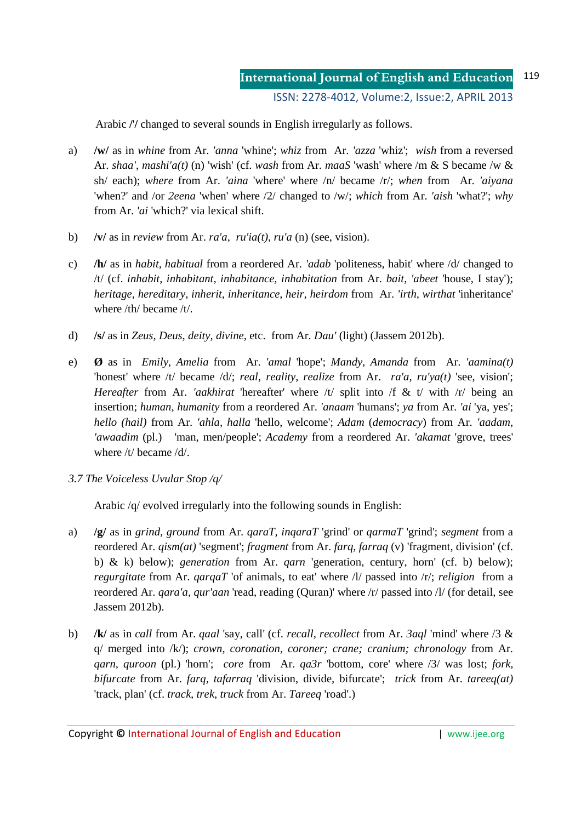Arabic **/**'**/** changed to several sounds in English irregularly as follows.

- a) **/w/** as in *whine* from Ar. *'anna* 'whine'; *whiz* from Ar. *'azza* 'whiz'; *wish* from a reversed Ar. *shaa'*, *mashi'a(t)* (n) 'wish' (cf. *wash* from Ar. *maaS* 'wash' where /m & S became /w & sh/ each); *where* from Ar. *'aina* 'where' where /n/ became /r/; *when* from Ar. *'aiyana*  'when?' and /or *2eena* 'when' where /2/ changed to /w/; *which* from Ar. *'aish* 'what?'; *why* from Ar. *'ai* 'which?' via lexical shift.
- b) **/v/** as in *review* from Ar. *ra'a, ru'ia(t), ru'a* (n) (see, vision).
- c) **/h/** as in *habit, habitual* from a reordered Ar. *'adab* 'politeness, habit' where /d/ changed to /t/ (cf. *inhabit, inhabitant, inhabitance, inhabitation* from Ar. *bait, 'abeet* 'house, I stay'); *heritage, hereditary, inherit, inheritance, heir, heirdom* from Ar. *'irth, wirthat* 'inheritance' where /th/ became /t/.
- d) **/s/** as in *Zeus, Deus, deity, divine,* etc.from Ar. *Dau'* (light) (Jassem 2012b).
- e) **Ø** as in *Emily, Amelia* from Ar. *'amal* 'hope'; *Mandy, Amanda* from Ar. *'aamina(t)* 'honest' where /t/ became /d/; *real*, *reality*, *realize* from Ar. *ra'a, ru'ya(t)* 'see, vision'; *Hereafter* from Ar. *'aakhirat* 'hereafter' where /t/ split into /f & t/ with /r/ being an insertion; *human*, *humanity* from a reordered Ar. *'anaam* 'humans'; *ya* from Ar. *'ai* 'ya, yes'; *hello (hail)* from Ar. *'ahla, halla* 'hello, welcome'; *Adam* (*democracy*) from Ar. *'aadam, 'awaadim* (pl.)'man, men/people'; *Academy* from a reordered Ar. *'akamat* 'grove, trees' where /t/ became /d/.
- *3.7 The Voiceless Uvular Stop /q/*

Arabic /q/ evolved irregularly into the following sounds in English:

- a) **/g/** as in *grind, ground* from Ar. *qaraT, inqaraT* 'grind' or *qarmaT* 'grind'; *segment* from a reordered Ar. *qism(at)* 'segment'; *fragment* from Ar. *farq, farraq* (v) 'fragment, division' (cf. b) & k) below); *generation* from Ar. *qarn* 'generation, century, horn' (cf. b) below); *regurgitate* from Ar. *qarqaT* 'of animals, to eat' where /l/ passed into /r/; *religion* from a reordered Ar. *qara'a, qur'aan* 'read, reading (Quran)' where /r/ passed into /l/ (for detail, see Jassem 2012b).
- b) **/k/** as in *call* from Ar. *qaal* 'say, call' (cf. *recall, recollect* from Ar. *3aql* 'mind' where /3 & q/ merged into /k/); *crown, coronation, coroner; crane; cranium; chronology* from Ar. *qarn, quroon* (pl.) 'horn'; *core* from Ar. *qa3r* 'bottom, core' where /3/ was lost; *fork, bifurcate* from Ar. *farq, tafarraq* 'division, divide, bifurcate'; *trick* from Ar. *tareeq(at)* 'track, plan' (cf. *track, trek, truck* from Ar. *Tareeq* 'road'.)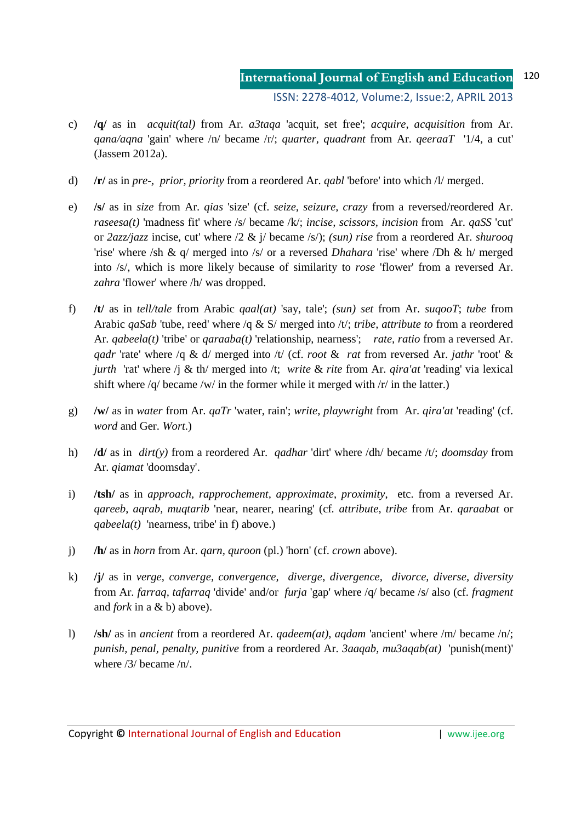- c) **/q/** as in *acquit(tal)* from Ar. *a3taqa* 'acquit, set free'; *acquire, acquisition* from Ar. *qana/aqna* 'gain' where /n/ became /r/; *quarter, quadrant* from Ar. *qeeraaT* '1/4, a cut' (Jassem 2012a).
- d) **/r/** as in *pre-, prior, priority* from a reordered Ar. *qabl* 'before' into which /l/ merged.
- e) **/s/** as in *size* from Ar. *qias* 'size' (cf. *seize, seizure, crazy* from a reversed/reordered Ar. *raseesa(t)* 'madness fit' where /s/ became /k/; *incise, scissors, incision* from Ar. *qaSS* 'cut' or *2azz/jazz* incise, cut' where /2 & j/ became /s/); *(sun) rise* from a reordered Ar. *shurooq*  'rise' where /sh & q/ merged into /s/ or a reversed *Dhahara* 'rise' where /Dh & h/ merged into /s/, which is more likely because of similarity to *rose* 'flower' from a reversed Ar. *zahra* 'flower' where /h/ was dropped.
- f) **/t/** as in *tell/tale* from Arabic *qaal(at)* 'say, tale'; *(sun) set* from Ar. *suqooT*; *tube* from Arabic *qaSab* 'tube, reed' where /q & S/ merged into /t/; *tribe, attribute to* from a reordered Ar. *qabeela(t)* 'tribe' or *qaraaba(t)* 'relationship, nearness'; *rate, ratio* from a reversed Ar. *qadr* 'rate' where /q & d/ merged into /t/ (cf. *root* & *rat* from reversed Ar. *jathr* 'root' & *jurth* 'rat' where /j & th/ merged into /t; *write* & *rite* from Ar. *qira'at* 'reading' via lexical shift where /q/ became /w/ in the former while it merged with /r/ in the latter.)
- g) **/w/** as in *water* from Ar. *qaTr* 'water, rain'; *write, playwright* from Ar. *qira'at* 'reading' (cf. *word* and Ger. *Wort*.)
- h) **/d/** as in *dirt(y)* from a reordered Ar. *qadhar* 'dirt' where /dh/ became /t/; *doomsday* from Ar. *qiamat* 'doomsday'.
- i) **/tsh/** as in *approach, rapprochement, approximate*, *proximity*, etc. from a reversed Ar. *qareeb*, *aqrab, muqtarib* 'near, nearer, nearing' (cf*. attribute, tribe* from Ar. *qaraabat* or *qabeela(t)* 'nearness, tribe' in f) above.)
- j) **/h/** as in *horn* from Ar. *qarn, quroon* (pl.) 'horn' (cf. *crown* above).
- k) **/j/** as in *verge, converge, convergence, diverge, divergence, divorce, diverse, diversity*  from Ar. *farraq, tafarraq* 'divide' and/or *furja* 'gap' where /q/ became /s/ also (cf. *fragment*  and *fork* in a & b) above).
- l) **/sh/** as in *ancient* from a reordered Ar. *qadeem(at), aqdam* 'ancient' where /m/ became /n/; *punish, penal, penalty, punitive* from a reordered Ar. *3aaqab, mu3aqab(at)* 'punish(ment)' where /3/ became /n/.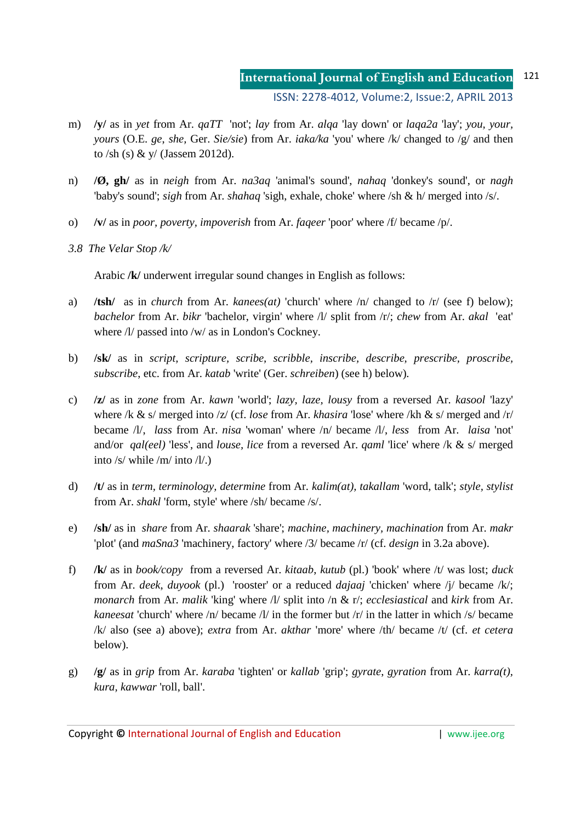- m) **/y/** as in *yet* from Ar. *qaTT* 'not'; *lay* from Ar. *alqa* 'lay down' or *laqa2a* 'lay'; *you, your, yours* (O.E. *ge*, *she,* Ger. *Sie/sie*) from Ar. *iaka/ka* 'you' where /k/ changed to /g/ and then to /sh (s) & y/ (Jassem 2012d).
- n) **/Ø, gh/** as in *neigh* from Ar. *na3aq* 'animal's sound', *nahaq* 'donkey's sound', or *nagh*  'baby's sound'; *sigh* from Ar. *shahaq* 'sigh, exhale, choke' where /sh & h/ merged into /s/.
- o) **/v/** as in *poor, poverty, impoverish* from Ar. *faqeer* 'poor' where /f/ became /p/.
- *3.8 The Velar Stop /k/*

Arabic **/k/** underwent irregular sound changes in English as follows:

- a) **/tsh/** as in *church* from Ar. *kanees(at)* 'church' where /n/ changed to /r/ (see f) below); *bachelor* from Ar. *bikr* 'bachelor, virgin' where /l/ split from /r/; *chew* from Ar. *akal* 'eat' where  $\frac{1}{2}$  passed into  $\frac{1}{w}$  as in London's Cockney.
- b) **/sk/** as in *script, scripture, scribe, scribble, inscribe, describe, prescribe, proscribe, subscribe*, etc. from Ar. *katab* 'write' (Ger. *schreiben*) (see h) below)*.*
- c) **/z/** as in *zone* from Ar. *kawn* 'world'; *lazy, laze, lousy* from a reversed Ar. *kasool* 'lazy' where /k & s/ merged into /z/ (cf. *lose* from Ar. *khasira* 'lose' where /kh & s/ merged and /r/ became /l/, *lass* from Ar. *nisa* 'woman' where /n/ became /l/, *less* from Ar. *laisa* 'not' and/or *qal(eel)* 'less', and *louse, lice* from a reversed Ar. *qaml* 'lice' where /k & s/ merged into /s/ while /m/ into /l/.)
- d) **/t/** as in *term, terminology, determine* from Ar. *kalim(at), takallam* 'word, talk'; *style, stylist*  from Ar. *shakl* 'form, style' where /sh/ became /s/.
- e) **/sh/** as in *share* from Ar. *shaarak* 'share'; *machine, machinery, machination* from Ar. *makr*  'plot' (and *maSna3* 'machinery, factory' where /3/ became /r/ (cf. *design* in 3.2a above).
- f) **/k/** as in *book/copy* from a reversed Ar. *kitaab*, *kutub* (pl.) 'book' where /t/ was lost; *duck* from Ar. *deek*, *duyook* (pl.) 'rooster' or a reduced *dajaaj* 'chicken' where /j/ became /k/; *monarch* from Ar. *malik* 'king' where /l/ split into /n & r/; *ecclesiastical* and *kirk* from Ar. *kaneesat* 'church' where /n/ became /l/ in the former but /r/ in the latter in which /s/ became /k/ also (see a) above); *extra* from Ar. *akthar* 'more' where /th/ became /t/ (cf. *et cetera* below).
- g) **/g/** as in *grip* from Ar. *karaba* 'tighten' or *kallab* 'grip'; *gyrate*, *gyration* from Ar. *karra(t), kura, kawwar* 'roll, ball'.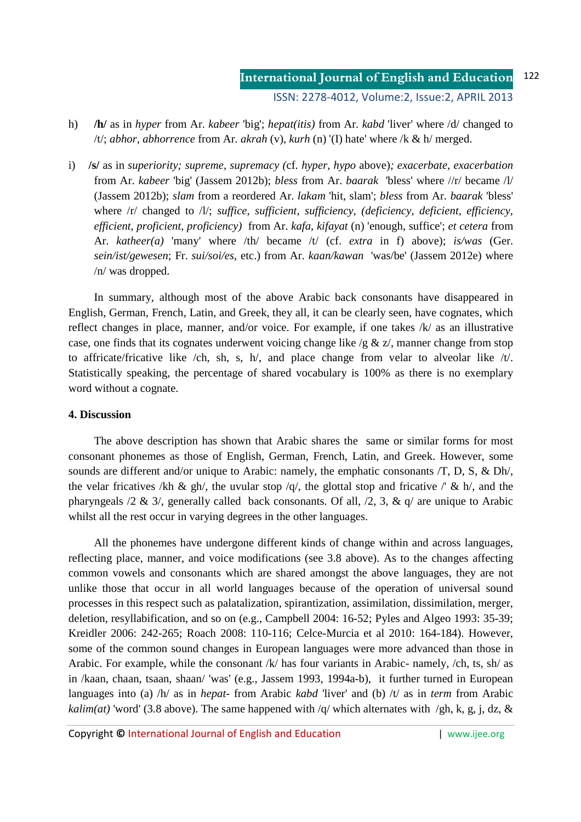- h) **/h/** as in *hyper* from Ar. *kabeer* 'big'; *hepat(itis)* from Ar. *kabd* 'liver' where /d/ changed to /t/; *abhor, abhorrence* from Ar. *akrah* (v)*, kurh* (n) '(I) hate' where /k & h/ merged.
- i) **/s/** as in *superiority; supreme, supremacy (*cf. *hyper, hypo* above)*; exacerbate, exacerbation* from Ar. *kabeer* 'big' (Jassem 2012b); *bless* from Ar. *baarak* 'bless' where //r/ became /l/ (Jassem 2012b); *slam* from a reordered Ar. *lakam* 'hit, slam'; *bless* from Ar. *baarak* 'bless' where  $\langle r \rangle$  changed to  $\langle \frac{1}{\rangle}$ ; *suffice, sufficient, sufficiency, (deficiency, deficient, efficiency, efficient, proficient, proficiency)* from Ar. *kafa, kifayat* (n) 'enough, suffice'; *et cetera* from Ar. *katheer(a)* 'many' where /th/ became /t/ (cf. *extra* in f) above); *is/was* (Ger. *sein/ist/gewesen*; Fr. *sui/soi/es*, etc.) from Ar. *kaan/kawan* 'was/be' (Jassem 2012e) where /n/ was dropped.

In summary, although most of the above Arabic back consonants have disappeared in English, German, French, Latin, and Greek, they all, it can be clearly seen, have cognates, which reflect changes in place, manner, and/or voice. For example, if one takes /k/ as an illustrative case, one finds that its cognates underwent voicing change like  $/g \& z/$ , manner change from stop to affricate/fricative like /ch, sh, s, h/, and place change from velar to alveolar like  $/t$ . Statistically speaking, the percentage of shared vocabulary is 100% as there is no exemplary word without a cognate.

### **4. Discussion**

The above description has shown that Arabic shares the same or similar forms for most consonant phonemes as those of English, German, French, Latin, and Greek. However, some sounds are different and/or unique to Arabic: namely, the emphatic consonants /T, D, S, & Dh/, the velar fricatives /kh & gh/, the uvular stop /q/, the glottal stop and fricative /' & h/, and the pharyngeals /2 & 3/, generally called back consonants. Of all, /2, 3, & q/ are unique to Arabic whilst all the rest occur in varying degrees in the other languages.

All the phonemes have undergone different kinds of change within and across languages, reflecting place, manner, and voice modifications (see 3.8 above). As to the changes affecting common vowels and consonants which are shared amongst the above languages, they are not unlike those that occur in all world languages because of the operation of universal sound processes in this respect such as palatalization, spirantization, assimilation, dissimilation, merger, deletion, resyllabification, and so on (e.g., Campbell 2004: 16-52; Pyles and Algeo 1993: 35-39; Kreidler 2006: 242-265; Roach 2008: 110-116; Celce-Murcia et al 2010: 164-184). However, some of the common sound changes in European languages were more advanced than those in Arabic. For example, while the consonant  $/k$  has four variants in Arabic- namely,  $\langle ch, ts, sh \rangle$  as in /kaan, chaan, tsaan, shaan/ 'was' (e.g., Jassem 1993, 1994a-b), it further turned in European languages into (a) /h/ as in *hepat-* from Arabic *kabd* 'liver' and (b) /t/ as in *term* from Arabic *kalim(at)* 'word' (3.8 above). The same happened with  $\sqrt{q}$  which alternates with  $\sqrt{gh}$ , k, g, j, dz, &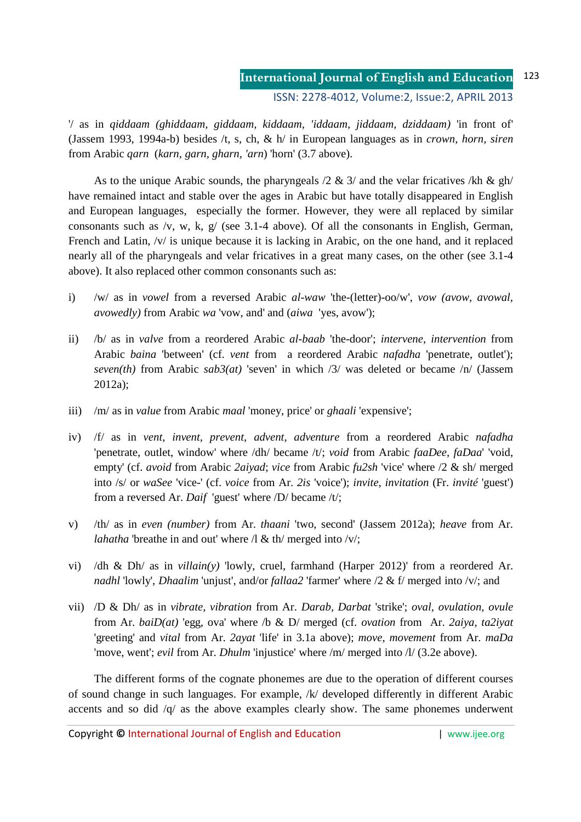#### **International Journal of English and Education** 123

ISSN: 2278-4012, Volume:2, Issue:2, APRIL 2013

'/ as in *qiddaam (ghiddaam, giddaam, kiddaam, 'iddaam, jiddaam, dziddaam)* 'in front of' (Jassem 1993, 1994a-b) besides /t, s, ch, & h/ in European languages as in *crown, horn, siren* from Arabic *qarn* (*karn, garn, gharn, 'arn*) 'horn' (3.7 above).

As to the unique Arabic sounds, the pharyngeals  $/2 \& 3/$  and the velar fricatives /kh & gh/ have remained intact and stable over the ages in Arabic but have totally disappeared in English and European languages, especially the former. However, they were all replaced by similar consonants such as /v, w, k, g/ (see 3.1-4 above). Of all the consonants in English, German, French and Latin, /v/ is unique because it is lacking in Arabic, on the one hand, and it replaced nearly all of the pharyngeals and velar fricatives in a great many cases, on the other (see 3.1-4 above). It also replaced other common consonants such as:

- i) /w/ as in *vowel* from a reversed Arabic *al-waw* 'the-(letter)-oo/w', *vow (avow, avowal, avowedly)* from Arabic *wa* 'vow, and' and (*aiwa* 'yes, avow');
- ii) /b/ as in *valve* from a reordered Arabic *al-baab* 'the-door'; *intervene, intervention* from Arabic *baina* 'between' (cf. *vent* from a reordered Arabic *nafadha* 'penetrate, outlet'); *seven(th)* from Arabic *sab3(at)* 'seven' in which /3/ was deleted or became /n/ (Jassem 2012a);
- iii) /m/ as in *value* from Arabic *maal* 'money, price' or *ghaali* 'expensive';
- iv) /f/ as in *vent, invent, prevent, advent, adventure* from a reordered Arabic *nafadha* 'penetrate, outlet, window' where /dh/ became /t/; *void* from Arabic *faaDee, faDaa*' 'void, empty' (cf. *avoid* from Arabic *2aiyad*; *vice* from Arabic *fu2sh* 'vice' where /2 & sh/ merged into /s/ or *waSee* 'vice-' (cf. *voice* from Ar. *2is* 'voice'); *invite, invitation* (Fr. *invité* 'guest') from a reversed Ar. *Daif* 'guest' where /D/ became /t/;
- v) /th/ as in *even (number)* from Ar. *thaani* 'two, second' (Jassem 2012a); *heave* from Ar. *lahatha* 'breathe in and out' where  $\Lambda \& \text{th}$ ' merged into /v/;
- vi) /dh & Dh/ as in *villain(y)* 'lowly, cruel, farmhand (Harper 2012)' from a reordered Ar. *nadhl* 'lowly', *Dhaalim* 'unjust', and/or *fallaa2* 'farmer' where /2 & f/ merged into /v/; and
- vii) /D & Dh/ as in *vibrate, vibration* from Ar. *Darab, Darbat* 'strike'; *oval, ovulation, ovule*  from Ar. *baiD(at)* 'egg, ova' where /b & D/ merged (cf. *ovation* from Ar. *2aiya, ta2iyat* 'greeting' and *vital* from Ar. *2ayat* 'life' in 3.1a above); *move*, *movement* from Ar. *maDa* 'move, went'; *evil* from Ar. *Dhulm* 'injustice' where /m/ merged into /l/ (3.2e above).

The different forms of the cognate phonemes are due to the operation of different courses of sound change in such languages. For example, /k/ developed differently in different Arabic accents and so did /q/ as the above examples clearly show. The same phonemes underwent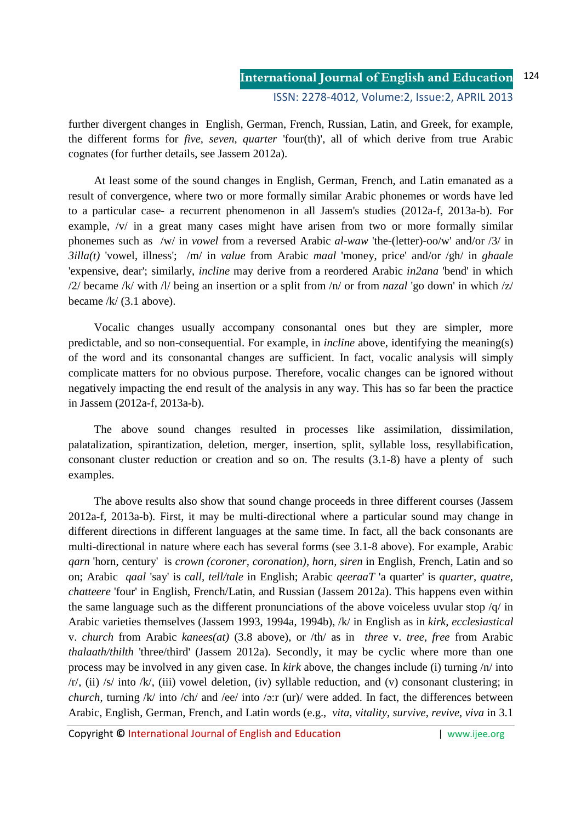further divergent changes in English, German, French, Russian, Latin, and Greek, for example, the different forms for *five, seven, quarter* 'four(th)', all of which derive from true Arabic cognates (for further details, see Jassem 2012a).

At least some of the sound changes in English, German, French, and Latin emanated as a result of convergence, where two or more formally similar Arabic phonemes or words have led to a particular case- a recurrent phenomenon in all Jassem's studies (2012a-f, 2013a-b). For example, /v/ in a great many cases might have arisen from two or more formally similar phonemes such as /w/ in *vowel* from a reversed Arabic *al-waw* 'the-(letter)-oo/w' and/or /3/ in *3illa(t)* 'vowel, illness'; /m/ in *value* from Arabic *maal* 'money, price' and/or /gh/ in *ghaale* 'expensive, dear'; similarly, *incline* may derive from a reordered Arabic *in2ana* 'bend' in which /2/ became /k/ with /l/ being an insertion or a split from /n/ or from *nazal* 'go down' in which /z/ became /k/ (3.1 above).

Vocalic changes usually accompany consonantal ones but they are simpler, more predictable, and so non-consequential. For example, in *incline* above, identifying the meaning(s) of the word and its consonantal changes are sufficient. In fact, vocalic analysis will simply complicate matters for no obvious purpose. Therefore, vocalic changes can be ignored without negatively impacting the end result of the analysis in any way. This has so far been the practice in Jassem (2012a-f, 2013a-b).

The above sound changes resulted in processes like assimilation, dissimilation, palatalization, spirantization, deletion, merger, insertion, split, syllable loss, resyllabification, consonant cluster reduction or creation and so on. The results (3.1-8) have a plenty of such examples.

The above results also show that sound change proceeds in three different courses (Jassem 2012a-f, 2013a-b). First, it may be multi-directional where a particular sound may change in different directions in different languages at the same time. In fact, all the back consonants are multi-directional in nature where each has several forms (see 3.1-8 above). For example, Arabic *qarn* 'horn, century' is *crown (coroner, coronation), horn, siren* in English, French, Latin and so on; Arabic *qaal* 'say' is *call, tell/tale* in English; Arabic *qeeraaT* 'a quarter' is *quarter, quatre, chatteere* 'four' in English, French/Latin, and Russian (Jassem 2012a). This happens even within the same language such as the different pronunciations of the above voiceless uvular stop /q/ in Arabic varieties themselves (Jassem 1993, 1994a, 1994b), /k/ in English as in *kirk, ecclesiastical*  v. *church* from Arabic *kanees(at)* (3.8 above), or /th/ as in *three* v. *tree, free* from Arabic *thalaath/thilth* 'three/third' (Jassem 2012a). Secondly, it may be cyclic where more than one process may be involved in any given case. In *kirk* above, the changes include (i) turning /n/ into  $/r/$ , (ii) /s/ into /k/, (iii) vowel deletion, (iv) syllable reduction, and (v) consonant clustering; in *church*, turning /k/ into /ch/ and /ee/ into /ə:r (ur)/ were added. In fact, the differences between Arabic, English, German, French, and Latin words (e.g., *vita, vitality, survive, revive, viva* in 3.1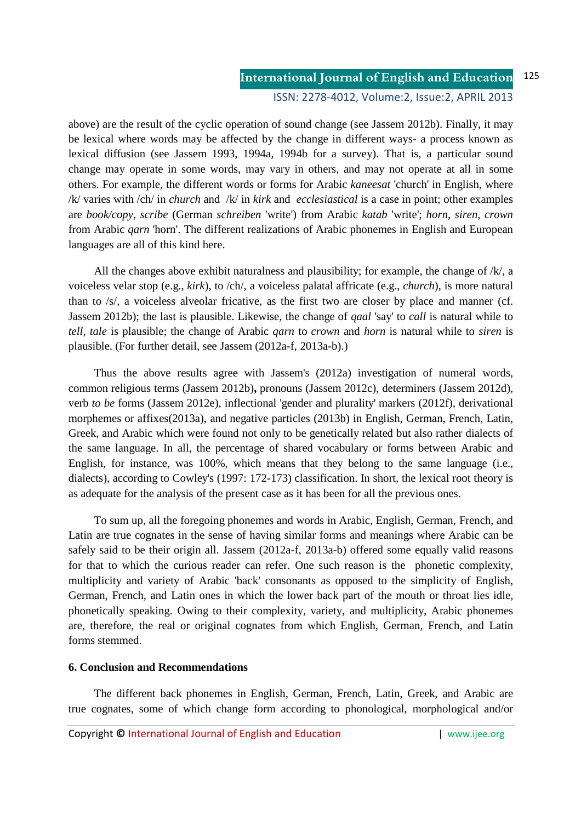above) are the result of the cyclic operation of sound change (see Jassem 2012b). Finally, it may be lexical where words may be affected by the change in different ways- a process known as lexical diffusion (see Jassem 1993, 1994a, 1994b for a survey). That is, a particular sound change may operate in some words, may vary in others, and may not operate at all in some others. For example, the different words or forms for Arabic *kaneesat* 'church' in English, where /k/ varies with /ch/ in *church* and /k/ in *kirk* and *ecclesiastical* is a case in point; other examples are *book/copy, scribe* (German *schreiben* 'write') from Arabic *katab* 'write'; *horn, siren, crown* from Arabic *qarn* 'horn'. The different realizations of Arabic phonemes in English and European languages are all of this kind here.

All the changes above exhibit naturalness and plausibility; for example, the change of  $/k$ , a voiceless velar stop (e.g., *kirk*), to /ch/, a voiceless palatal affricate (e.g., *church*), is more natural than to /s/, a voiceless alveolar fricative, as the first two are closer by place and manner (cf. Jassem 2012b); the last is plausible. Likewise, the change of *qaal* 'say' to *call* is natural while to *tell, tale* is plausible; the change of Arabic *qarn* to *crown* and *horn* is natural while to *siren* is plausible. (For further detail, see Jassem (2012a-f, 2013a-b).)

Thus the above results agree with Jassem's (2012a) investigation of numeral words, common religious terms (Jassem 2012b)**,** pronouns (Jassem 2012c), determiners (Jassem 2012d), verb *to be* forms (Jassem 2012e), inflectional 'gender and plurality' markers (2012f), derivational morphemes or affixes(2013a), and negative particles (2013b) in English, German, French, Latin, Greek, and Arabic which were found not only to be genetically related but also rather dialects of the same language. In all, the percentage of shared vocabulary or forms between Arabic and English, for instance, was 100%, which means that they belong to the same language (i.e., dialects), according to Cowley's (1997: 172-173) classification. In short, the lexical root theory is as adequate for the analysis of the present case as it has been for all the previous ones.

To sum up, all the foregoing phonemes and words in Arabic, English, German, French, and Latin are true cognates in the sense of having similar forms and meanings where Arabic can be safely said to be their origin all. Jassem (2012a-f, 2013a-b) offered some equally valid reasons for that to which the curious reader can refer. One such reason is the phonetic complexity, multiplicity and variety of Arabic 'back' consonants as opposed to the simplicity of English, German, French, and Latin ones in which the lower back part of the mouth or throat lies idle, phonetically speaking. Owing to their complexity, variety, and multiplicity, Arabic phonemes are, therefore, the real or original cognates from which English, German, French, and Latin forms stemmed.

### **6. Conclusion and Recommendations**

The different back phonemes in English, German, French, Latin, Greek, and Arabic are true cognates, some of which change form according to phonological, morphological and/or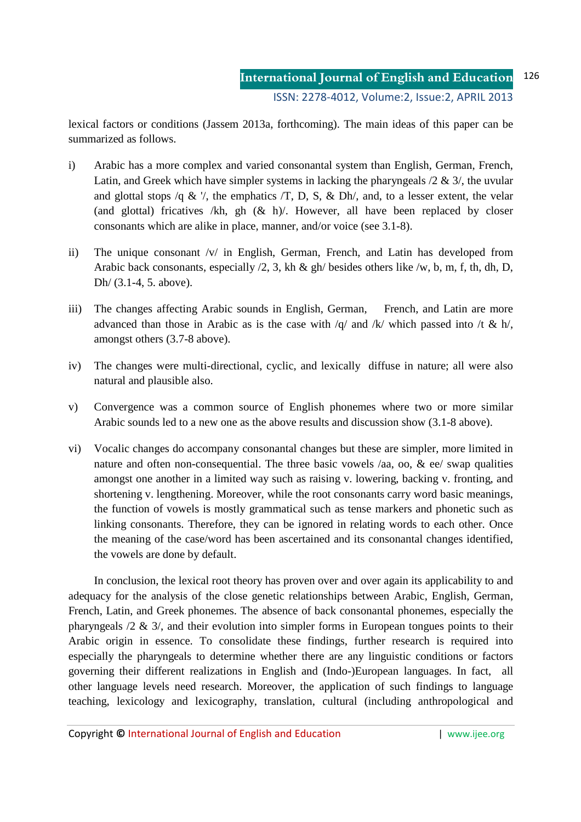lexical factors or conditions (Jassem 2013a, forthcoming). The main ideas of this paper can be summarized as follows.

- i) Arabic has a more complex and varied consonantal system than English, German, French, Latin, and Greek which have simpler systems in lacking the pharyngeals  $/2 \& 3/$ , the uvular and glottal stops /q & '/, the emphatics  $\overline{T}$ , D, S, & Dh/, and, to a lesser extent, the velar (and glottal) fricatives /kh, gh  $(\&$  h)/. However, all have been replaced by closer consonants which are alike in place, manner, and/or voice (see 3.1-8).
- ii) The unique consonant /v/ in English, German, French, and Latin has developed from Arabic back consonants, especially /2, 3, kh & gh/ besides others like /w, b, m, f, th, dh, D, Dh/ (3.1-4, 5. above).
- iii) The changes affecting Arabic sounds in English, German, French, and Latin are more advanced than those in Arabic as is the case with  $/q$  and  $/k$  which passed into  $/t \& h/$ , amongst others (3.7-8 above).
- iv) The changes were multi-directional, cyclic, and lexically diffuse in nature; all were also natural and plausible also.
- v) Convergence was a common source of English phonemes where two or more similar Arabic sounds led to a new one as the above results and discussion show (3.1-8 above).
- vi) Vocalic changes do accompany consonantal changes but these are simpler, more limited in nature and often non-consequential. The three basic vowels  $/aa$ , oo,  $\&$  ee $/$  swap qualities amongst one another in a limited way such as raising v. lowering, backing v. fronting, and shortening v. lengthening. Moreover, while the root consonants carry word basic meanings, the function of vowels is mostly grammatical such as tense markers and phonetic such as linking consonants. Therefore, they can be ignored in relating words to each other. Once the meaning of the case/word has been ascertained and its consonantal changes identified, the vowels are done by default.

In conclusion, the lexical root theory has proven over and over again its applicability to and adequacy for the analysis of the close genetic relationships between Arabic, English, German, French, Latin, and Greek phonemes. The absence of back consonantal phonemes, especially the pharyngeals /2 & 3/, and their evolution into simpler forms in European tongues points to their Arabic origin in essence. To consolidate these findings, further research is required into especially the pharyngeals to determine whether there are any linguistic conditions or factors governing their different realizations in English and (Indo-)European languages. In fact, all other language levels need research. Moreover, the application of such findings to language teaching, lexicology and lexicography, translation, cultural (including anthropological and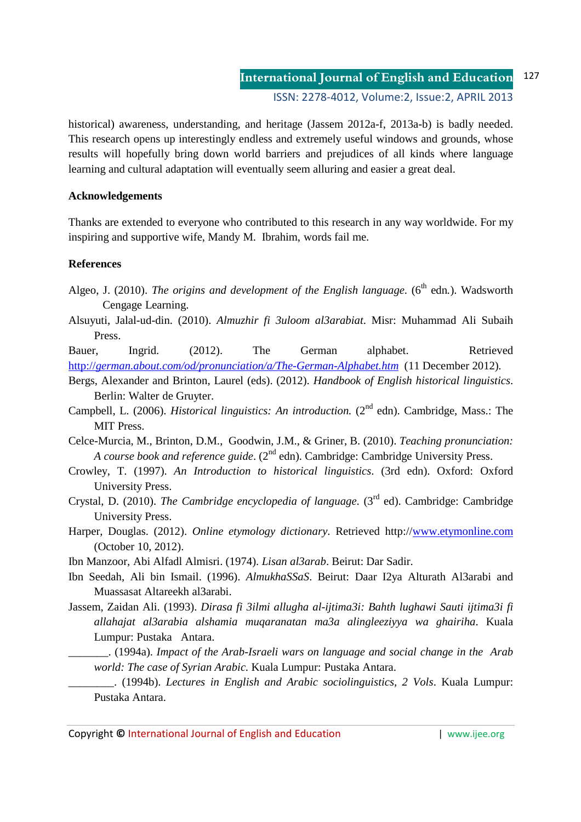historical) awareness, understanding, and heritage (Jassem 2012a-f, 2013a-b) is badly needed. This research opens up interestingly endless and extremely useful windows and grounds, whose results will hopefully bring down world barriers and prejudices of all kinds where language learning and cultural adaptation will eventually seem alluring and easier a great deal.

## **Acknowledgements**

Thanks are extended to everyone who contributed to this research in any way worldwide. For my inspiring and supportive wife, Mandy M. Ibrahim, words fail me.

### **References**

- Algeo, J. (2010). *The origins and development of the English language*. ( $6<sup>th</sup>$  edn.). Wadsworth Cengage Learning.
- Alsuyuti, Jalal-ud-din. (2010). *Almuzhir fi 3uloom al3arabiat*. Misr: Muhammad Ali Subaih Press.

Bauer, Ingrid. (2012). The German alphabet. Retrieved http://*german.about.com/od/pronunciation/a/The-German-Alphabet.htm* (11 December 2012)*.*

- Bergs, Alexander and Brinton, Laurel (eds). (2012). *Handbook of English historical linguistics*. Berlin: Walter de Gruyter.
- Campbell, L. (2006). *Historical linguistics: An introduction.* (2<sup>nd</sup> edn). Cambridge, Mass.: The MIT Press.
- Celce-Murcia, M., Brinton, D.M., Goodwin, J.M., & Griner, B. (2010). *Teaching pronunciation: A course book and reference guide.* (2<sup>nd</sup> edn). Cambridge: Cambridge University Press.
- Crowley, T. (1997). *An Introduction to historical linguistics*. (3rd edn). Oxford: Oxford University Press.
- Crystal, D. (2010). *The Cambridge encyclopedia of language*. (3rd ed). Cambridge: Cambridge University Press.
- Harper, Douglas. (2012). *Online etymology dictionary*. Retrieved http://www.etymonline.com (October 10, 2012).

Ibn Manzoor, Abi Alfadl Almisri. (1974). *Lisan al3arab*. Beirut: Dar Sadir.

- Ibn Seedah, Ali bin Ismail. (1996). *AlmukhaSSaS*. Beirut: Daar I2ya Alturath Al3arabi and Muassasat Altareekh al3arabi.
- Jassem, Zaidan Ali. (1993). *Dirasa fi 3ilmi allugha al-ijtima3i: Bahth lughawi Sauti ijtima3i fi allahajat al3arabia alshamia muqaranatan ma3a alingleeziyya wa ghairiha*. Kuala Lumpur: Pustaka Antara.
	- \_\_\_\_\_\_\_. (1994a). *Impact of the Arab-Israeli wars on language and social change in the Arab world: The case of Syrian Arabic.* Kuala Lumpur: Pustaka Antara.
		- \_\_\_\_\_\_\_\_. (1994b). *Lectures in English and Arabic sociolinguistics, 2 Vols*. Kuala Lumpur: Pustaka Antara.